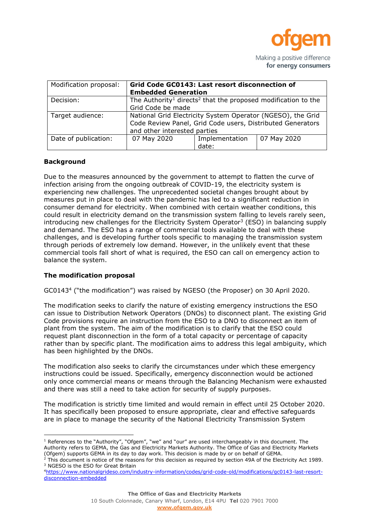

Making a positive difference for energy consumers

| Modification proposal: | Grid Code GC0143: Last resort disconnection of<br><b>Embedded Generation</b>                                                                              |                         |             |
|------------------------|-----------------------------------------------------------------------------------------------------------------------------------------------------------|-------------------------|-------------|
| Decision:              | The Authority <sup>1</sup> directs <sup>2</sup> that the proposed modification to the<br>Grid Code be made                                                |                         |             |
| Target audience:       | National Grid Electricity System Operator (NGESO), the Grid<br>Code Review Panel, Grid Code users, Distributed Generators<br>and other interested parties |                         |             |
| Date of publication:   | 07 May 2020                                                                                                                                               | Implementation<br>date: | 07 May 2020 |

#### **Background**

 $\overline{a}$ 

Due to the measures announced by the government to attempt to flatten the curve of infection arising from the ongoing outbreak of COVID-19, the electricity system is experiencing new challenges. The unprecedented societal changes brought about by measures put in place to deal with the pandemic has led to a significant reduction in consumer demand for electricity. When combined with certain weather conditions, this could result in electricity demand on the transmission system falling to levels rarely seen, introducing new challenges for the Electricity System Operator<sup>3</sup> (ESO) in balancing supply and demand. The ESO has a range of commercial tools available to deal with these challenges, and is developing further tools specific to managing the transmission system through periods of extremely low demand. However, in the unlikely event that these commercial tools fall short of what is required, the ESO can call on emergency action to balance the system.

# **The modification proposal**

GC0143<sup>4</sup> ("the modification") was raised by NGESO (the Proposer) on 30 April 2020.

The modification seeks to clarify the nature of existing emergency instructions the ESO can issue to Distribution Network Operators (DNOs) to disconnect plant. The existing Grid Code provisions require an instruction from the ESO to a DNO to disconnect an item of plant from the system. The aim of the modification is to clarify that the ESO could request plant disconnection in the form of a total capacity or percentage of capacity rather than by specific plant. The modification aims to address this legal ambiguity, which has been highlighted by the DNOs.

The modification also seeks to clarify the circumstances under which these emergency instructions could be issued. Specifically, emergency disconnection would be actioned only once commercial means or means through the Balancing Mechanism were exhausted and there was still a need to take action for security of supply purposes.

The modification is strictly time limited and would remain in effect until 25 October 2020. It has specifically been proposed to ensure appropriate, clear and effective safeguards are in place to manage the security of the National Electricity Transmission System

 $2$  This document is notice of the reasons for this decision as required by section 49A of the Electricity Act 1989. <sup>3</sup> NGESO is the ESO for Great Britain

<sup>&</sup>lt;sup>1</sup> References to the "Authority", "Ofgem", "we" and "our" are used interchangeably in this document. The Authority refers to GEMA, the Gas and Electricity Markets Authority. The Office of Gas and Electricity Markets (Ofgem) supports GEMA in its day to day work. This decision is made by or on behalf of GEMA.

<sup>4</sup>[https://www.nationalgrideso.com/industry-information/codes/grid-code-old/modifications/gc0143-last-resort](https://www.nationalgrideso.com/industry-information/codes/grid-code-old/modifications/gc0143-last-resort-disconnection-embedded)[disconnection-embedded](https://www.nationalgrideso.com/industry-information/codes/grid-code-old/modifications/gc0143-last-resort-disconnection-embedded)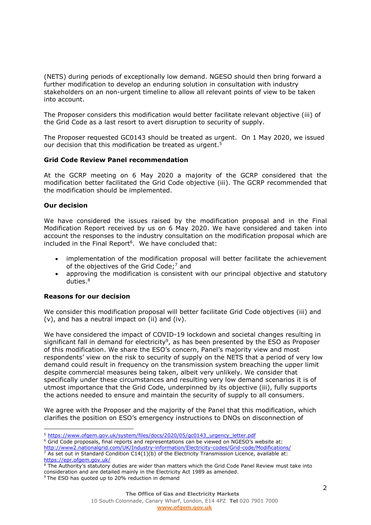(NETS) during periods of exceptionally low demand. NGESO should then bring forward a further modification to develop an enduring solution in consultation with industry stakeholders on an non-urgent timeline to allow all relevant points of view to be taken into account.

The Proposer considers this modification would better facilitate relevant objective (iii) of the Grid Code as a last resort to avert disruption to security of supply.

The Proposer requested GC0143 should be treated as urgent. On 1 May 2020, we issued our decision that this modification be treated as urgent. 5

#### **Grid Code Review Panel recommendation**

At the GCRP meeting on 6 May 2020 a majority of the GCRP considered that the modification better facilitated the Grid Code objective (iii). The GCRP recommended that the modification should be implemented.

#### **Our decision**

 $\overline{a}$ 

We have considered the issues raised by the modification proposal and in the Final Modification Report received by us on 6 May 2020. We have considered and taken into account the responses to the industry consultation on the modification proposal which are included in the Final Report<sup>6</sup>. We have concluded that:

- implementation of the modification proposal will better facilitate the achievement of the objectives of the Grid Code;<sup>7</sup> and
- approving the modification is consistent with our principal objective and statutory duties. 8

#### **Reasons for our decision**

We consider this modification proposal will better facilitate Grid Code objectives (iii) and (v), and has a neutral impact on (ii) and (iv).

We have considered the impact of COVID-19 lockdown and societal changes resulting in significant fall in demand for electricity<sup>9</sup>, as has been presented by the ESO as Proposer of this modification. We share the ESO's concern, Panel's majority view and most respondents' view on the risk to security of supply on the NETS that a period of very low demand could result in frequency on the transmission system breaching the upper limit despite commercial measures being taken, albeit very unlikely. We consider that specifically under these circumstances and resulting very low demand scenarios it is of utmost importance that the Grid Code, underpinned by its objective (iii), fully supports the actions needed to ensure and maintain the security of supply to all consumers.

We agree with the Proposer and the majority of the Panel that this modification, which clarifies the position on ESO's emergency instructions to DNOs on disconnection of

<sup>5</sup> [https://www.ofgem.gov.uk/system/files/docs/2020/05/gc0143\\_urgency\\_letter.pdf](https://www.ofgem.gov.uk/system/files/docs/2020/05/gc0143_urgency_letter.pdf)

<sup>6</sup> Grid Code proposals, final reports and representations can be viewed on NGESO's website at:

<http://www2.nationalgrid.com/UK/Industry-information/Electricity-codes/Grid-code/Modifications/>

 $\frac{7}{7}$  As set out in Standard Condition C14(1)(b) of the Electricity Transmission Licence, available at: <https://epr.ofgem.gov.uk/>

<sup>&</sup>lt;sup>8</sup> The Authority's statutory duties are wider than matters which the Grid Code Panel Review must take into consideration and are detailed mainly in the Electricity Act 1989 as amended. <sup>9</sup> The ESO has quoted up to 20% reduction in demand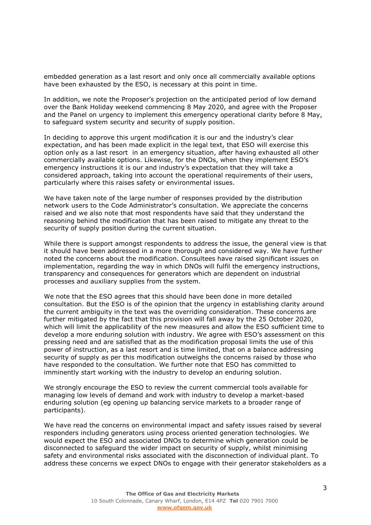embedded generation as a last resort and only once all commercially available options have been exhausted by the ESO, is necessary at this point in time.

In addition, we note the Proposer's projection on the anticipated period of low demand over the Bank Holiday weekend commencing 8 May 2020, and agree with the Proposer and the Panel on urgency to implement this emergency operational clarity before 8 May, to safeguard system security and security of supply position.

In deciding to approve this urgent modification it is our and the industry's clear expectation, and has been made explicit in the legal text, that ESO will exercise this option only as a last resort in an emergency situation, after having exhausted all other commercially available options. Likewise, for the DNOs, when they implement ESO's emergency instructions it is our and industry's expectation that they will take a considered approach, taking into account the operational requirements of their users, particularly where this raises safety or environmental issues.

We have taken note of the large number of responses provided by the distribution network users to the Code Administrator's consultation. We appreciate the concerns raised and we also note that most respondents have said that they understand the reasoning behind the modification that has been raised to mitigate any threat to the security of supply position during the current situation.

While there is support amongst respondents to address the issue, the general view is that it should have been addressed in a more thorough and considered way. We have further noted the concerns about the modification. Consultees have raised significant issues on implementation, regarding the way in which DNOs will fulfil the emergency instructions, transparency and consequences for generators which are dependent on industrial processes and auxiliary supplies from the system.

We note that the ESO agrees that this should have been done in more detailed consultation. But the ESO is of the opinion that the urgency in establishing clarity around the current ambiguity in the text was the overriding consideration. These concerns are further mitigated by the fact that this provision will fall away by the 25 October 2020, which will limit the applicability of the new measures and allow the ESO sufficient time to develop a more enduring solution with industry. We agree with ESO's assessment on this pressing need and are satisfied that as the modification proposal limits the use of this power of instruction, as a last resort and is time limited, that on a balance addressing security of supply as per this modification outweighs the concerns raised by those who have responded to the consultation. We further note that ESO has committed to imminently start working with the industry to develop an enduring solution.

We strongly encourage the ESO to review the current commercial tools available for managing low levels of demand and work with industry to develop a market-based enduring solution (eg opening up balancing service markets to a broader range of participants).

We have read the concerns on environmental impact and safety issues raised by several responders including generators using process oriented generation technologies. We would expect the ESO and associated DNOs to determine which generation could be disconnected to safeguard the wider impact on security of supply, whilst minimising safety and environmental risks associated with the disconnection of individual plant. To address these concerns we expect DNOs to engage with their generator stakeholders as a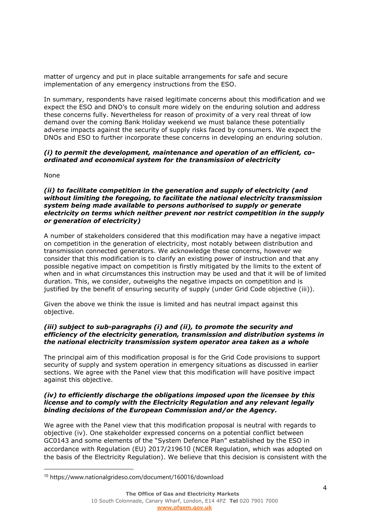matter of urgency and put in place suitable arrangements for safe and secure implementation of any emergency instructions from the ESO.

In summary, respondents have raised legitimate concerns about this modification and we expect the ESO and DNO's to consult more widely on the enduring solution and address these concerns fully. Nevertheless for reason of proximity of a very real threat of low demand over the coming Bank Holiday weekend we must balance these potentially adverse impacts against the security of supply risks faced by consumers. We expect the DNOs and ESO to further incorporate these concerns in developing an enduring solution.

## *(i) to permit the development, maintenance and operation of an efficient, coordinated and economical system for the transmission of electricity*

None

#### *(ii) to facilitate competition in the generation and supply of electricity (and without limiting the foregoing, to facilitate the national electricity transmission system being made available to persons authorised to supply or generate electricity on terms which neither prevent nor restrict competition in the supply or generation of electricity)*

A number of stakeholders considered that this modification may have a negative impact on competition in the generation of electricity, most notably between distribution and transmission connected generators. We acknowledge these concerns, however we consider that this modification is to clarify an existing power of instruction and that any possible negative impact on competition is firstly mitigated by the limits to the extent of when and in what circumstances this instruction may be used and that it will be of limited duration. This, we consider, outweighs the negative impacts on competition and is justified by the benefit of ensuring security of supply (under Grid Code objective (iii)).

Given the above we think the issue is limited and has neutral impact against this objective.

## *(iii) subject to sub-paragraphs (i) and (ii), to promote the security and efficiency of the electricity generation, transmission and distribution systems in the national electricity transmission system operator area taken as a whole*

The principal aim of this modification proposal is for the Grid Code provisions to support security of supply and system operation in emergency situations as discussed in earlier sections. We agree with the Panel view that this modification will have positive impact against this objective.

## *(iv) to efficiently discharge the obligations imposed upon the licensee by this license and to comply with the Electricity Regulation and any relevant legally binding decisions of the European Commission and/or the Agency.*

We agree with the Panel view that this modification proposal is neutral with regards to objective (iv). One stakeholder expressed concerns on a potential conflict between GC0143 and some elements of the "System Defence Plan" established by the ESO in accordance with Regulation (EU) 2017/219610 (NCER Regulation, which was adopted on the basis of the Electricity Regulation). We believe that this decision is consistent with the

<sup>10</sup> https://www.nationalgrideso.com/document/160016/download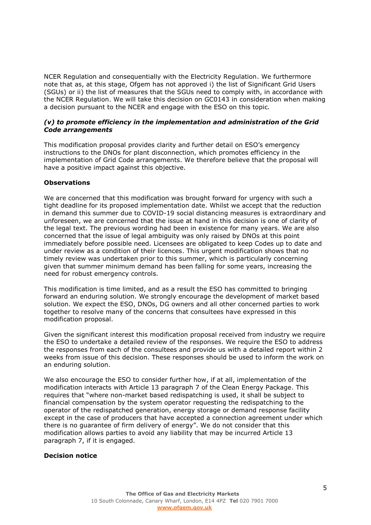NCER Regulation and consequentially with the Electricity Regulation. We furthermore note that as, at this stage, Ofgem has not approved i) the list of Significant Grid Users (SGUs) or ii) the list of measures that the SGUs need to comply with, in accordance with the NCER Regulation. We will take this decision on GC0143 in consideration when making a decision pursuant to the NCER and engage with the ESO on this topic.

## *(v) to promote efficiency in the implementation and administration of the Grid Code arrangements*

This modification proposal provides clarity and further detail on ESO's emergency instructions to the DNOs for plant disconnection, which promotes efficiency in the implementation of Grid Code arrangements. We therefore believe that the proposal will have a positive impact against this objective.

## **Observations**

We are concerned that this modification was brought forward for urgency with such a tight deadline for its proposed implementation date. Whilst we accept that the reduction in demand this summer due to COVID-19 social distancing measures is extraordinary and unforeseen, we are concerned that the issue at hand in this decision is one of clarity of the legal text. The previous wording had been in existence for many years. We are also concerned that the issue of legal ambiguity was only raised by DNOs at this point immediately before possible need. Licensees are obligated to keep Codes up to date and under review as a condition of their licences. This urgent modification shows that no timely review was undertaken prior to this summer, which is particularly concerning given that summer minimum demand has been falling for some years, increasing the need for robust emergency controls.

This modification is time limited, and as a result the ESO has committed to bringing forward an enduring solution. We strongly encourage the development of market based solution. We expect the ESO, DNOs, DG owners and all other concerned parties to work together to resolve many of the concerns that consultees have expressed in this modification proposal.

Given the significant interest this modification proposal received from industry we require the ESO to undertake a detailed review of the responses. We require the ESO to address the responses from each of the consultees and provide us with a detailed report within 2 weeks from issue of this decision. These responses should be used to inform the work on an enduring solution.

We also encourage the ESO to consider further how, if at all, implementation of the modification interacts with Article 13 paragraph 7 of the Clean Energy Package. This requires that "where non-market based redispatching is used, it shall be subject to financial compensation by the system operator requesting the redispatching to the operator of the redispatched generation, energy storage or demand response facility except in the case of producers that have accepted a connection agreement under which there is no guarantee of firm delivery of energy". We do not consider that this modification allows parties to avoid any liability that may be incurred Article 13 paragraph 7, if it is engaged.

#### **Decision notice**